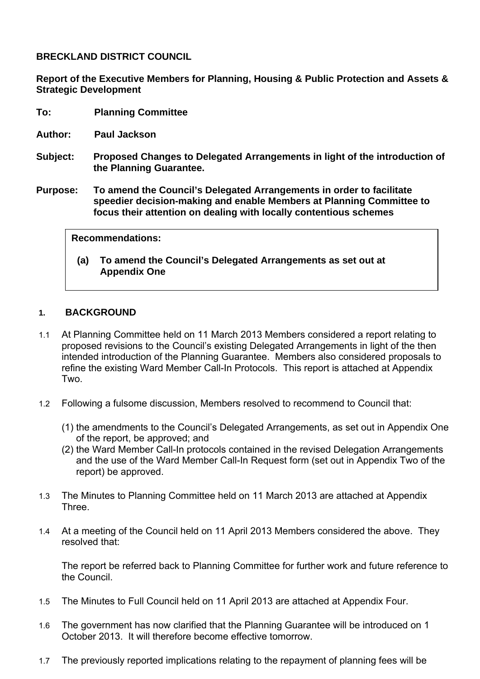**BRECKLAND DISTRICT COUNCIL** 

**Report of the Executive Members for Planning, Housing & Public Protection and Assets & Strategic Development** 

- **To: Planning Committee**
- **Author: Paul Jackson**
- **Subject: Proposed Changes to Delegated Arrangements in light of the introduction of the Planning Guarantee.**
- **Purpose: To amend the Council's Delegated Arrangements in order to facilitate speedier decision-making and enable Members at Planning Committee to focus their attention on dealing with locally contentious schemes**

| <b>Recommendations:</b> |  |
|-------------------------|--|
|-------------------------|--|

**(a) To amend the Council's Delegated Arrangements as set out at Appendix One** 

### **1. BACKGROUND**

- 1.1 At Planning Committee held on 11 March 2013 Members considered a report relating to proposed revisions to the Council's existing Delegated Arrangements in light of the then intended introduction of the Planning Guarantee. Members also considered proposals to refine the existing Ward Member Call-In Protocols. This report is attached at Appendix Two.
- 1.2 Following a fulsome discussion, Members resolved to recommend to Council that:
	- (1) the amendments to the Council's Delegated Arrangements, as set out in Appendix One of the report, be approved; and
	- (2) the Ward Member Call-In protocols contained in the revised Delegation Arrangements and the use of the Ward Member Call-In Request form (set out in Appendix Two of the report) be approved.
- 1.3 The Minutes to Planning Committee held on 11 March 2013 are attached at Appendix Three.
- 1.4 At a meeting of the Council held on 11 April 2013 Members considered the above. They resolved that:

The report be referred back to Planning Committee for further work and future reference to the Council.

- 1.5 The Minutes to Full Council held on 11 April 2013 are attached at Appendix Four.
- 1.6 The government has now clarified that the Planning Guarantee will be introduced on 1 October 2013. It will therefore become effective tomorrow.
- 1.7 The previously reported implications relating to the repayment of planning fees will be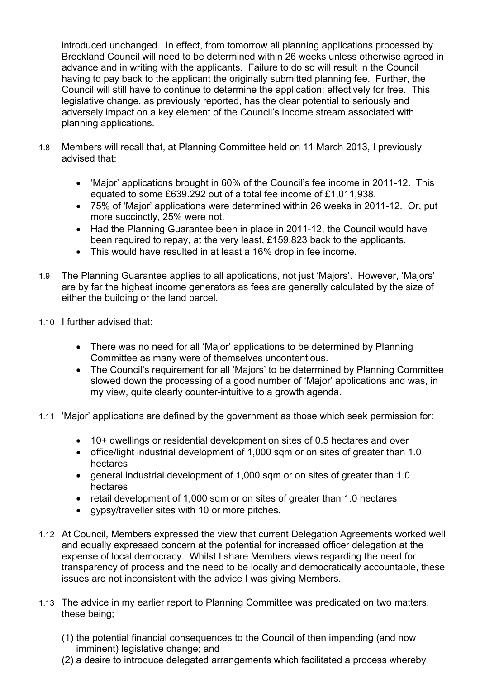introduced unchanged. In effect, from tomorrow all planning applications processed by Breckland Council will need to be determined within 26 weeks unless otherwise agreed in advance and in writing with the applicants. Failure to do so will result in the Council having to pay back to the applicant the originally submitted planning fee. Further, the Council will still have to continue to determine the application; effectively for free. This legislative change, as previously reported, has the clear potential to seriously and adversely impact on a key element of the Council's income stream associated with planning applications.

- 1.8 Members will recall that, at Planning Committee held on 11 March 2013, I previously advised that:
	- 'Major' applications brought in 60% of the Council's fee income in 2011-12. This equated to some £639.292 out of a total fee income of £1,011,938.
	- 75% of 'Major' applications were determined within 26 weeks in 2011-12. Or, put more succinctly, 25% were not.
	- Had the Planning Guarantee been in place in 2011-12, the Council would have been required to repay, at the very least, £159,823 back to the applicants.
	- This would have resulted in at least a 16% drop in fee income.
- 1.9 The Planning Guarantee applies to all applications, not just 'Majors'. However, 'Majors' are by far the highest income generators as fees are generally calculated by the size of either the building or the land parcel.
- 1.10 I further advised that:
	- There was no need for all 'Major' applications to be determined by Planning Committee as many were of themselves uncontentious.
	- The Council's requirement for all 'Majors' to be determined by Planning Committee slowed down the processing of a good number of 'Major' applications and was, in my view, quite clearly counter-intuitive to a growth agenda.
- 1.11 'Major' applications are defined by the government as those which seek permission for:
	- 10+ dwellings or residential development on sites of 0.5 hectares and over
	- office/light industrial development of 1,000 sqm or on sites of greater than 1.0 hectares
	- general industrial development of 1,000 sqm or on sites of greater than 1.0 hectares
	- retail development of 1,000 sqm or on sites of greater than 1.0 hectares
	- gypsy/traveller sites with 10 or more pitches.
- 1.12 At Council, Members expressed the view that current Delegation Agreements worked well and equally expressed concern at the potential for increased officer delegation at the expense of local democracy. Whilst I share Members views regarding the need for transparency of process and the need to be locally and democratically accountable, these issues are not inconsistent with the advice I was giving Members.
- 1.13 The advice in my earlier report to Planning Committee was predicated on two matters, these being;
	- (1) the potential financial consequences to the Council of then impending (and now imminent) legislative change; and
	- (2) a desire to introduce delegated arrangements which facilitated a process whereby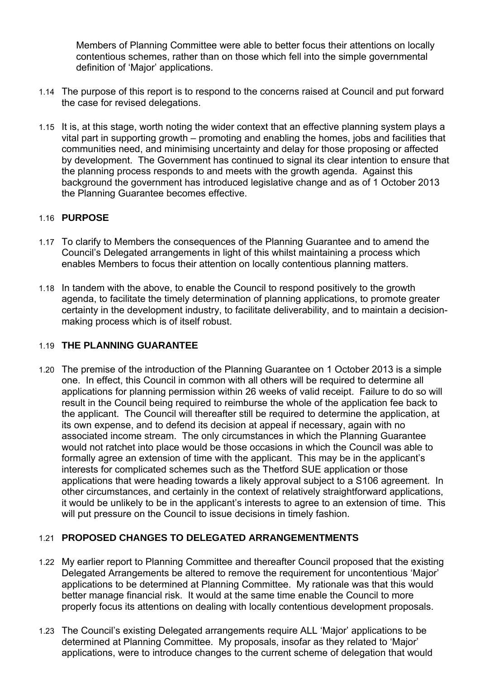Members of Planning Committee were able to better focus their attentions on locally contentious schemes, rather than on those which fell into the simple governmental definition of 'Major' applications.

- 1.14 The purpose of this report is to respond to the concerns raised at Council and put forward the case for revised delegations.
- 1.15 It is, at this stage, worth noting the wider context that an effective planning system plays a vital part in supporting growth – promoting and enabling the homes, jobs and facilities that communities need, and minimising uncertainty and delay for those proposing or affected by development. The Government has continued to signal its clear intention to ensure that the planning process responds to and meets with the growth agenda. Against this background the government has introduced legislative change and as of 1 October 2013 the Planning Guarantee becomes effective.

### 1.16 **PURPOSE**

- 1.17 To clarify to Members the consequences of the Planning Guarantee and to amend the Council's Delegated arrangements in light of this whilst maintaining a process which enables Members to focus their attention on locally contentious planning matters.
- 1.18 In tandem with the above, to enable the Council to respond positively to the growth agenda, to facilitate the timely determination of planning applications, to promote greater certainty in the development industry, to facilitate deliverability, and to maintain a decisionmaking process which is of itself robust.

### 1.19 **THE PLANNING GUARANTEE**

1.20 The premise of the introduction of the Planning Guarantee on 1 October 2013 is a simple one. In effect, this Council in common with all others will be required to determine all applications for planning permission within 26 weeks of valid receipt. Failure to do so will result in the Council being required to reimburse the whole of the application fee back to the applicant. The Council will thereafter still be required to determine the application, at its own expense, and to defend its decision at appeal if necessary, again with no associated income stream. The only circumstances in which the Planning Guarantee would not ratchet into place would be those occasions in which the Council was able to formally agree an extension of time with the applicant. This may be in the applicant's interests for complicated schemes such as the Thetford SUE application or those applications that were heading towards a likely approval subject to a S106 agreement. In other circumstances, and certainly in the context of relatively straightforward applications, it would be unlikely to be in the applicant's interests to agree to an extension of time. This will put pressure on the Council to issue decisions in timely fashion.

### 1.21 **PROPOSED CHANGES TO DELEGATED ARRANGEMENTMENTS**

- 1.22 My earlier report to Planning Committee and thereafter Council proposed that the existing Delegated Arrangements be altered to remove the requirement for uncontentious 'Major' applications to be determined at Planning Committee. My rationale was that this would better manage financial risk. It would at the same time enable the Council to more properly focus its attentions on dealing with locally contentious development proposals.
- 1.23 The Council's existing Delegated arrangements require ALL 'Major' applications to be determined at Planning Committee. My proposals, insofar as they related to 'Major' applications, were to introduce changes to the current scheme of delegation that would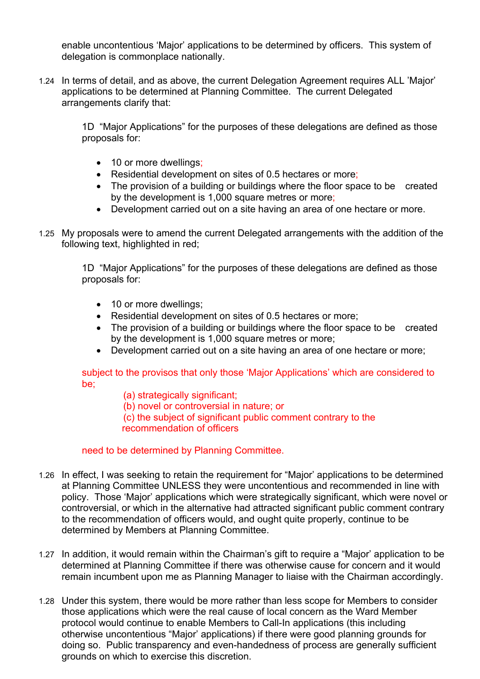enable uncontentious 'Major' applications to be determined by officers. This system of delegation is commonplace nationally.

1.24 In terms of detail, and as above, the current Delegation Agreement requires ALL 'Major' applications to be determined at Planning Committee. The current Delegated arrangements clarify that:

> 1D "Major Applications" for the purposes of these delegations are defined as those proposals for:

- 10 or more dwellings;
- Residential development on sites of 0.5 hectares or more;
- The provision of a building or buildings where the floor space to be created by the development is 1,000 square metres or more;
- Development carried out on a site having an area of one hectare or more.
- 1.25 My proposals were to amend the current Delegated arrangements with the addition of the following text, highlighted in red;

1D "Major Applications" for the purposes of these delegations are defined as those proposals for:

- 10 or more dwellings:
- Residential development on sites of 0.5 hectares or more;
- The provision of a building or buildings where the floor space to be created by the development is 1,000 square metres or more;
- Development carried out on a site having an area of one hectare or more;

subject to the provisos that only those 'Major Applications' which are considered to be;

- (a) strategically significant;
- (b) novel or controversial in nature; or
- (c) the subject of significant public comment contrary to the recommendation of officers

### need to be determined by Planning Committee.

- 1.26 In effect, I was seeking to retain the requirement for "Major' applications to be determined at Planning Committee UNLESS they were uncontentious and recommended in line with policy. Those 'Major' applications which were strategically significant, which were novel or controversial, or which in the alternative had attracted significant public comment contrary to the recommendation of officers would, and ought quite properly, continue to be determined by Members at Planning Committee.
- 1.27 In addition, it would remain within the Chairman's gift to require a "Major' application to be determined at Planning Committee if there was otherwise cause for concern and it would remain incumbent upon me as Planning Manager to liaise with the Chairman accordingly.
- 1.28 Under this system, there would be more rather than less scope for Members to consider those applications which were the real cause of local concern as the Ward Member protocol would continue to enable Members to Call-In applications (this including otherwise uncontentious "Major' applications) if there were good planning grounds for doing so. Public transparency and even-handedness of process are generally sufficient grounds on which to exercise this discretion.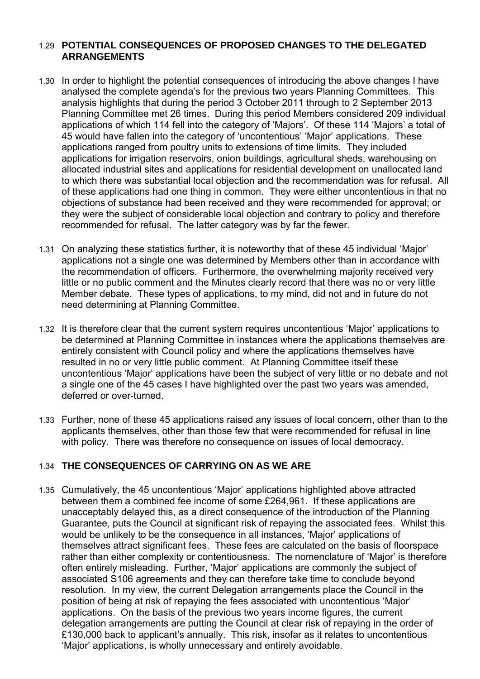### 1.29 **POTENTIAL CONSEQUENCES OF PROPOSED CHANGES TO THE DELEGATED ARRANGEMENTS**

- 1.30 In order to highlight the potential consequences of introducing the above changes I have analysed the complete agenda's for the previous two years Planning Committees. This analysis highlights that during the period 3 October 2011 through to 2 September 2013 Planning Committee met 26 times. During this period Members considered 209 individual applications of which 114 fell into the category of 'Majors'. Of these 114 'Majors' a total of 45 would have fallen into the category of 'uncontentious' 'Major' applications. These applications ranged from poultry units to extensions of time limits. They included applications for irrigation reservoirs, onion buildings, agricultural sheds, warehousing on allocated industrial sites and applications for residential development on unallocated land to which there was substantial local objection and the recommendation was for refusal. All of these applications had one thing in common. They were either uncontentious in that no objections of substance had been received and they were recommended for approval; or they were the subject of considerable local objection and contrary to policy and therefore recommended for refusal. The latter category was by far the fewer.
- 1.31 On analyzing these statistics further, it is noteworthy that of these 45 individual 'Major' applications not a single one was determined by Members other than in accordance with the recommendation of officers. Furthermore, the overwhelming majority received very little or no public comment and the Minutes clearly record that there was no or very little Member debate. These types of applications, to my mind, did not and in future do not need determining at Planning Committee.
- 1.32 It is therefore clear that the current system requires uncontentious 'Major' applications to be determined at Planning Committee in instances where the applications themselves are entirely consistent with Council policy and where the applications themselves have resulted in no or very little public comment. At Planning Committee itself these uncontentious 'Major' applications have been the subject of very little or no debate and not a single one of the 45 cases I have highlighted over the past two years was amended, deferred or over-turned.
- 1.33 Further, none of these 45 applications raised any issues of local concern, other than to the applicants themselves, other than those few that were recommended for refusal in line with policy. There was therefore no consequence on issues of local democracy.

# 1.34 **THE CONSEQUENCES OF CARRYING ON AS WE ARE**

1.35 Cumulatively, the 45 uncontentious 'Major' applications highlighted above attracted between them a combined fee income of some £264,961. If these applications are unacceptably delayed this, as a direct consequence of the introduction of the Planning Guarantee, puts the Council at significant risk of repaying the associated fees. Whilst this would be unlikely to be the consequence in all instances, 'Major' applications of themselves attract significant fees. These fees are calculated on the basis of floorspace rather than either complexity or contentiousness. The nomenclature of 'Major' is therefore often entirely misleading. Further, 'Major' applications are commonly the subject of associated S106 agreements and they can therefore take time to conclude beyond resolution. In my view, the current Delegation arrangements place the Council in the position of being at risk of repaying the fees associated with uncontentious 'Major' applications. On the basis of the previous two years income figures, the current delegation arrangements are putting the Council at clear risk of repaying in the order of £130,000 back to applicant's annually. This risk, insofar as it relates to uncontentious 'Major' applications, is wholly unnecessary and entirely avoidable.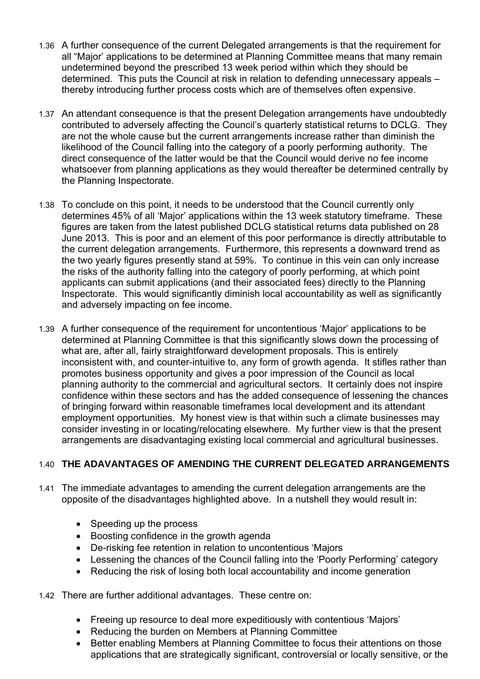- 1.36 A further consequence of the current Delegated arrangements is that the requirement for all "Major' applications to be determined at Planning Committee means that many remain undetermined beyond the prescribed 13 week period within which they should be determined. This puts the Council at risk in relation to defending unnecessary appeals – thereby introducing further process costs which are of themselves often expensive.
- 1.37 An attendant consequence is that the present Delegation arrangements have undoubtedly contributed to adversely affecting the Council's quarterly statistical returns to DCLG. They are not the whole cause but the current arrangements increase rather than diminish the likelihood of the Council falling into the category of a poorly performing authority. The direct consequence of the latter would be that the Council would derive no fee income whatsoever from planning applications as they would thereafter be determined centrally by the Planning Inspectorate.
- 1.38 To conclude on this point, it needs to be understood that the Council currently only determines 45% of all 'Major' applications within the 13 week statutory timeframe. These figures are taken from the latest published DCLG statistical returns data published on 28 June 2013. This is poor and an element of this poor performance is directly attributable to the current delegation arrangements. Furthermore, this represents a downward trend as the two yearly figures presently stand at 59%. To continue in this vein can only increase the risks of the authority falling into the category of poorly performing, at which point applicants can submit applications (and their associated fees) directly to the Planning Inspectorate. This would significantly diminish local accountability as well as significantly and adversely impacting on fee income.
- 1.39 A further consequence of the requirement for uncontentious 'Major' applications to be determined at Planning Committee is that this significantly slows down the processing of what are, after all, fairly straightforward development proposals. This is entirely inconsistent with, and counter-intuitive to, any form of growth agenda. It stifles rather than promotes business opportunity and gives a poor impression of the Council as local planning authority to the commercial and agricultural sectors. It certainly does not inspire confidence within these sectors and has the added consequence of lessening the chances of bringing forward within reasonable timeframes local development and its attendant employment opportunities. My honest view is that within such a climate businesses may consider investing in or locating/relocating elsewhere. My further view is that the present arrangements are disadvantaging existing local commercial and agricultural businesses.

# 1.40 **THE ADAVANTAGES OF AMENDING THE CURRENT DELEGATED ARRANGEMENTS**

- 1.41 The immediate advantages to amending the current delegation arrangements are the opposite of the disadvantages highlighted above.In a nutshell they would result in:
	- Speeding up the process
	- Boosting confidence in the growth agenda
	- De-risking fee retention in relation to uncontentious 'Majors
	- Lessening the chances of the Council falling into the 'Poorly Performing' category
	- Reducing the risk of losing both local accountability and income generation
- 1.42 There are further additional advantages. These centre on:
	- Freeing up resource to deal more expeditiously with contentious 'Majors'
	- Reducing the burden on Members at Planning Committee
	- Better enabling Members at Planning Committee to focus their attentions on those applications that are strategically significant, controversial or locally sensitive, or the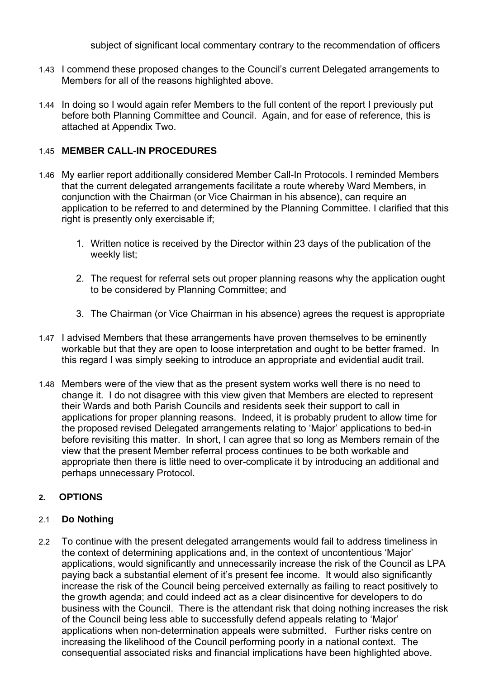subject of significant local commentary contrary to the recommendation of officers

- 1.43 I commend these proposed changes to the Council's current Delegated arrangements to Members for all of the reasons highlighted above.
- 1.44 In doing so I would again refer Members to the full content of the report I previously put before both Planning Committee and Council. Again, and for ease of reference, this is attached at Appendix Two.

### 1.45 **MEMBER CALL-IN PROCEDURES**

- 1.46 My earlier report additionally considered Member Call-In Protocols. I reminded Members that the current delegated arrangements facilitate a route whereby Ward Members, in conjunction with the Chairman (or Vice Chairman in his absence), can require an application to be referred to and determined by the Planning Committee. I clarified that this right is presently only exercisable if;
	- 1. Written notice is received by the Director within 23 days of the publication of the weekly list;
	- 2. The request for referral sets out proper planning reasons why the application ought to be considered by Planning Committee; and
	- 3. The Chairman (or Vice Chairman in his absence) agrees the request is appropriate
- 1.47 I advised Members that these arrangements have proven themselves to be eminently workable but that they are open to loose interpretation and ought to be better framed. In this regard I was simply seeking to introduce an appropriate and evidential audit trail.
- 1.48 Members were of the view that as the present system works well there is no need to change it. I do not disagree with this view given that Members are elected to represent their Wards and both Parish Councils and residents seek their support to call in applications for proper planning reasons. Indeed, it is probably prudent to allow time for the proposed revised Delegated arrangements relating to 'Major' applications to bed-in before revisiting this matter. In short, I can agree that so long as Members remain of the view that the present Member referral process continues to be both workable and appropriate then there is little need to over-complicate it by introducing an additional and perhaps unnecessary Protocol.

# **2. OPTIONS**

### 2.1 **Do Nothing**

2.2 To continue with the present delegated arrangements would fail to address timeliness in the context of determining applications and, in the context of uncontentious 'Major' applications, would significantly and unnecessarily increase the risk of the Council as LPA paying back a substantial element of it's present fee income. It would also significantly increase the risk of the Council being perceived externally as failing to react positively to the growth agenda; and could indeed act as a clear disincentive for developers to do business with the Council. There is the attendant risk that doing nothing increases the risk of the Council being less able to successfully defend appeals relating to 'Major' applications when non-determination appeals were submitted. Further risks centre on increasing the likelihood of the Council performing poorly in a national context. The consequential associated risks and financial implications have been highlighted above.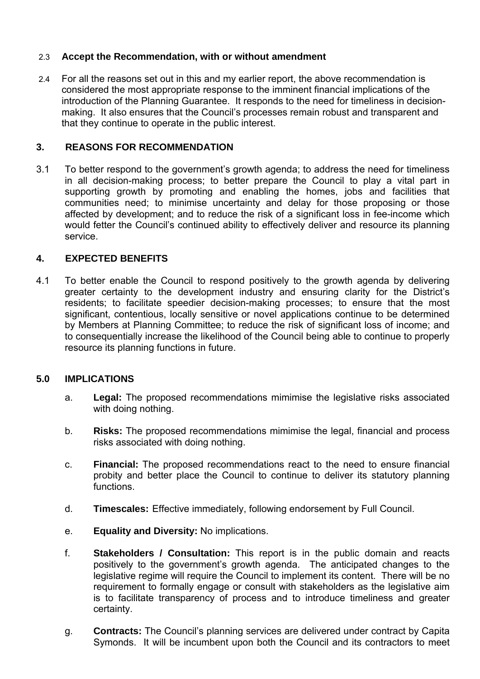### 2.3 **Accept the Recommendation, with or without amendment**

2.4 For all the reasons set out in this and my earlier report, the above recommendation is considered the most appropriate response to the imminent financial implications of the introduction of the Planning Guarantee. It responds to the need for timeliness in decisionmaking. It also ensures that the Council's processes remain robust and transparent and that they continue to operate in the public interest.

### **3. REASONS FOR RECOMMENDATION**

3.1 To better respond to the government's growth agenda; to address the need for timeliness in all decision-making process; to better prepare the Council to play a vital part in supporting growth by promoting and enabling the homes, jobs and facilities that communities need; to minimise uncertainty and delay for those proposing or those affected by development; and to reduce the risk of a significant loss in fee-income which would fetter the Council's continued ability to effectively deliver and resource its planning service.

### **4. EXPECTED BENEFITS**

4.1 To better enable the Council to respond positively to the growth agenda by delivering greater certainty to the development industry and ensuring clarity for the District's residents; to facilitate speedier decision-making processes; to ensure that the most significant, contentious, locally sensitive or novel applications continue to be determined by Members at Planning Committee; to reduce the risk of significant loss of income; and to consequentially increase the likelihood of the Council being able to continue to properly resource its planning functions in future.

### **5.0 IMPLICATIONS**

- a. **Legal:** The proposed recommendations mimimise the legislative risks associated with doing nothing.
- b. **Risks:** The proposed recommendations mimimise the legal, financial and process risks associated with doing nothing.
- c. **Financial:** The proposed recommendations react to the need to ensure financial probity and better place the Council to continue to deliver its statutory planning functions.
- d. **Timescales:** Effective immediately, following endorsement by Full Council.
- e. **Equality and Diversity:** No implications.
- f. **Stakeholders / Consultation:** This report is in the public domain and reacts positively to the government's growth agenda. The anticipated changes to the legislative regime will require the Council to implement its content. There will be no requirement to formally engage or consult with stakeholders as the legislative aim is to facilitate transparency of process and to introduce timeliness and greater certainty.
- g. **Contracts:** The Council's planning services are delivered under contract by Capita Symonds. It will be incumbent upon both the Council and its contractors to meet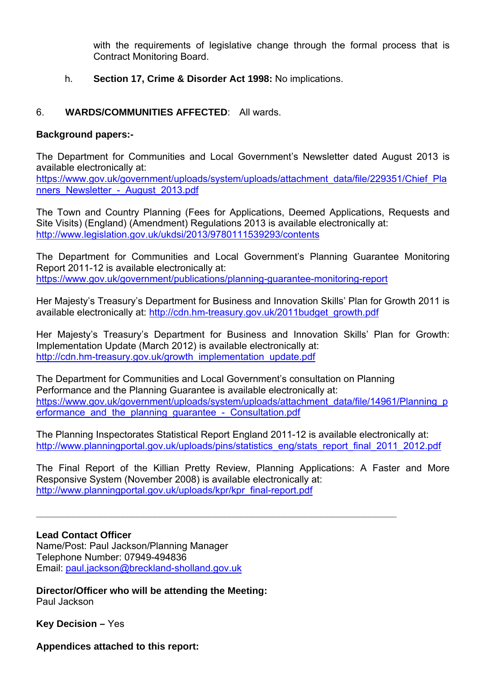with the requirements of legislative change through the formal process that is Contract Monitoring Board.

h. **Section 17, Crime & Disorder Act 1998:** No implications.

# 6. **WARDS/COMMUNITIES AFFECTED**: All wards.

### **Background papers:-**

The Department for Communities and Local Government's Newsletter dated August 2013 is available electronically at:

https://www.gov.uk/government/uploads/system/uploads/attachment\_data/file/229351/Chief\_Pla nners\_Newsletter\_-\_August\_2013.pdf

The Town and Country Planning (Fees for Applications, Deemed Applications, Requests and Site Visits) (England) (Amendment) Regulations 2013 is available electronically at: http://www.legislation.gov.uk/ukdsi/2013/9780111539293/contents

The Department for Communities and Local Government's Planning Guarantee Monitoring Report 2011-12 is available electronically at: https://www.gov.uk/government/publications/planning-guarantee-monitoring-report

Her Majesty's Treasury's Department for Business and Innovation Skills' Plan for Growth 2011 is available electronically at: http://cdn.hm-treasury.gov.uk/2011budget\_growth.pdf

Her Majesty's Treasury's Department for Business and Innovation Skills' Plan for Growth: Implementation Update (March 2012) is available electronically at: http://cdn.hm-treasury.gov.uk/growth\_implementation\_update.pdf

The Department for Communities and Local Government's consultation on Planning Performance and the Planning Guarantee is available electronically at: https://www.gov.uk/government/uploads/system/uploads/attachment\_data/file/14961/Planning\_p erformance and the planning quarantee - Consultation.pdf

The Planning Inspectorates Statistical Report England 2011-12 is available electronically at: http://www.planningportal.gov.uk/uploads/pins/statistics\_eng/stats\_report\_final\_2011\_2012.pdf

The Final Report of the Killian Pretty Review, Planning Applications: A Faster and More Responsive System (November 2008) is available electronically at: http://www.planningportal.gov.uk/uploads/kpr/kpr\_final-report.pdf

**\_\_\_\_\_\_\_\_\_\_\_\_\_\_\_\_\_\_\_\_\_\_\_\_\_\_\_\_\_\_\_\_\_\_\_\_\_\_\_\_\_\_\_\_\_\_\_\_\_\_\_\_\_\_\_\_\_\_\_\_\_\_\_\_\_\_\_**

**Lead Contact Officer** 

Name/Post: Paul Jackson/Planning Manager Telephone Number: 07949-494836 Email: paul.jackson@breckland-sholland.gov.uk

**Director/Officer who will be attending the Meeting:**  Paul Jackson

**Key Decision –** Yes

**Appendices attached to this report:**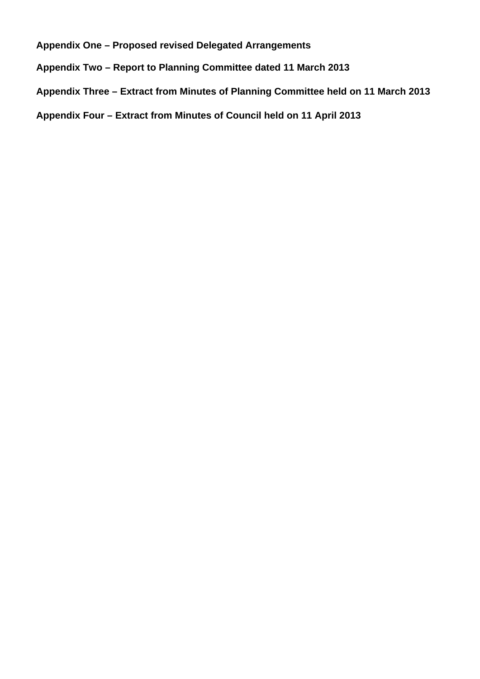**Appendix One – Proposed revised Delegated Arrangements** 

**Appendix Two – Report to Planning Committee dated 11 March 2013** 

**Appendix Three – Extract from Minutes of Planning Committee held on 11 March 2013** 

**Appendix Four – Extract from Minutes of Council held on 11 April 2013**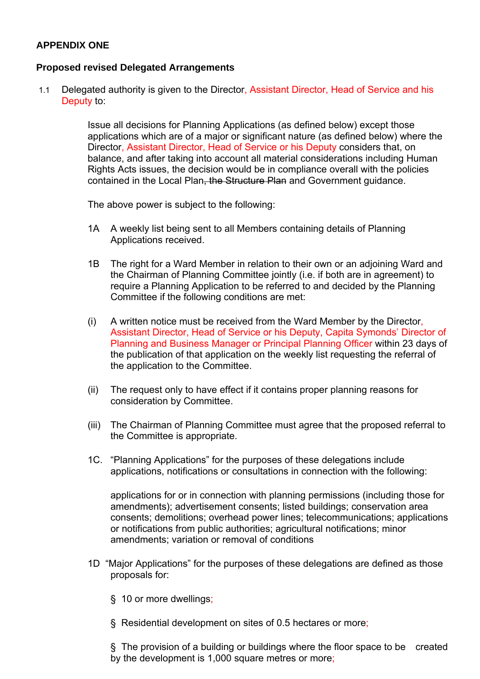# **APPENDIX ONE**

### **Proposed revised Delegated Arrangements**

1.1 Delegated authority is given to the Director, Assistant Director, Head of Service and his Deputy to:

> Issue all decisions for Planning Applications (as defined below) except those applications which are of a major or significant nature (as defined below) where the Director, Assistant Director, Head of Service or his Deputy considers that, on balance, and after taking into account all material considerations including Human Rights Acts issues, the decision would be in compliance overall with the policies contained in the Local Plan, the Structure Plan and Government guidance.

The above power is subject to the following:

- 1A A weekly list being sent to all Members containing details of Planning Applications received.
- 1B The right for a Ward Member in relation to their own or an adjoining Ward and the Chairman of Planning Committee jointly (i.e. if both are in agreement) to require a Planning Application to be referred to and decided by the Planning Committee if the following conditions are met:
- (i) A written notice must be received from the Ward Member by the Director, Assistant Director, Head of Service or his Deputy, Capita Symonds' Director of Planning and Business Manager or Principal Planning Officer within 23 days of the publication of that application on the weekly list requesting the referral of the application to the Committee.
- (ii) The request only to have effect if it contains proper planning reasons for consideration by Committee.
- (iii) The Chairman of Planning Committee must agree that the proposed referral to the Committee is appropriate.
- 1C. "Planning Applications" for the purposes of these delegations include applications, notifications or consultations in connection with the following:

 applications for or in connection with planning permissions (including those for amendments); advertisement consents; listed buildings; conservation area consents; demolitions; overhead power lines; telecommunications; applications or notifications from public authorities; agricultural notifications; minor amendments; variation or removal of conditions

- 1D "Major Applications" for the purposes of these delegations are defined as those proposals for:
	- § 10 or more dwellings;
	- § Residential development on sites of 0.5 hectares or more;

 § The provision of a building or buildings where the floor space to be created by the development is 1,000 square metres or more;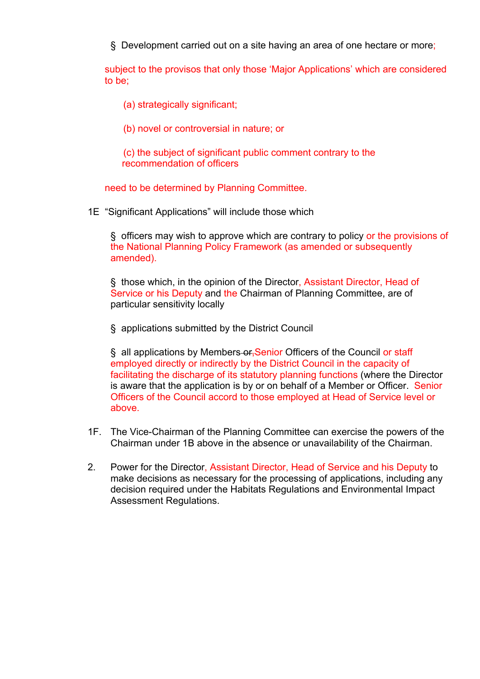§ Development carried out on a site having an area of one hectare or more;

 subject to the provisos that only those 'Major Applications' which are considered to be;

- (a) strategically significant;
- (b) novel or controversial in nature; or

 (c) the subject of significant public comment contrary to the recommendation of officers

need to be determined by Planning Committee.

1E "Significant Applications" will include those which

 § officers may wish to approve which are contrary to policy or the provisions of the National Planning Policy Framework (as amended or subsequently amended).

 § those which, in the opinion of the Director, Assistant Director, Head of Service or his Deputy and the Chairman of Planning Committee, are of particular sensitivity locally

§ applications submitted by the District Council

 § all applications by Members or,Senior Officers of the Council or staff employed directly or indirectly by the District Council in the capacity of facilitating the discharge of its statutory planning functions (where the Director is aware that the application is by or on behalf of a Member or Officer. Senior Officers of the Council accord to those employed at Head of Service level or above.

- 1F. The Vice-Chairman of the Planning Committee can exercise the powers of the Chairman under 1B above in the absence or unavailability of the Chairman.
- 2. Power for the Director, Assistant Director, Head of Service and his Deputy to make decisions as necessary for the processing of applications, including any decision required under the Habitats Regulations and Environmental Impact Assessment Regulations.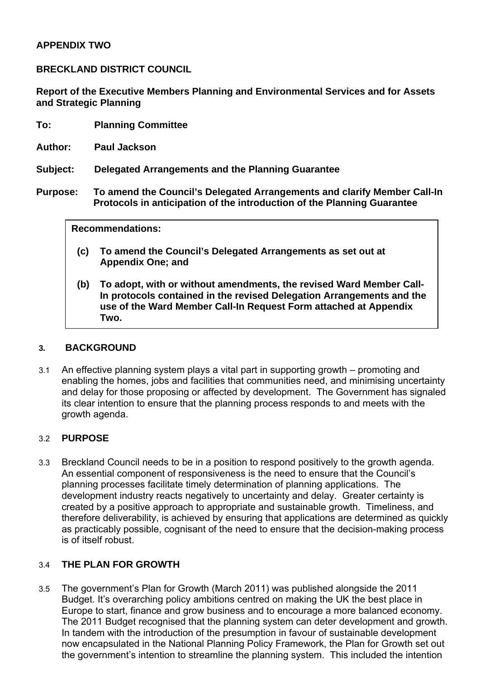### **APPENDIX TWO**

**BRECKLAND DISTRICT COUNCIL** 

**Report of the Executive Members Planning and Environmental Services and for Assets and Strategic Planning** 

- **To: Planning Committee**
- **Author: Paul Jackson**
- **Subject: Delegated Arrangements and the Planning Guarantee**
- **Purpose: To amend the Council's Delegated Arrangements and clarify Member Call-In Protocols in anticipation of the introduction of the Planning Guarantee**

#### **Recommendations:**

- **(c) To amend the Council's Delegated Arrangements as set out at Appendix One; and**
- **(b) To adopt, with or without amendments, the revised Ward Member Call-In protocols contained in the revised Delegation Arrangements and the use of the Ward Member Call-In Request Form attached at Appendix Two.**

### **3. BACKGROUND**

3.1 An effective planning system plays a vital part in supporting growth – promoting and enabling the homes, jobs and facilities that communities need, and minimising uncertainty and delay for those proposing or affected by development. The Government has signaled its clear intention to ensure that the planning process responds to and meets with the growth agenda.

### 3.2 **PURPOSE**

3.3 Breckland Council needs to be in a position to respond positively to the growth agenda. An essential component of responsiveness is the need to ensure that the Council's planning processes facilitate timely determination of planning applications. The development industry reacts negatively to uncertainty and delay. Greater certainty is created by a positive approach to appropriate and sustainable growth. Timeliness, and therefore deliverability, is achieved by ensuring that applications are determined as quickly as practicably possible, cognisant of the need to ensure that the decision-making process is of itself robust.

### 3.4 **THE PLAN FOR GROWTH**

3.5 The government's Plan for Growth (March 2011) was published alongside the 2011 Budget. It's overarching policy ambitions centred on making the UK the best place in Europe to start, finance and grow business and to encourage a more balanced economy. The 2011 Budget recognised that the planning system can deter development and growth. In tandem with the introduction of the presumption in favour of sustainable development now encapsulated in the National Planning Policy Framework, the Plan for Growth set out the government's intention to streamline the planning system. This included the intention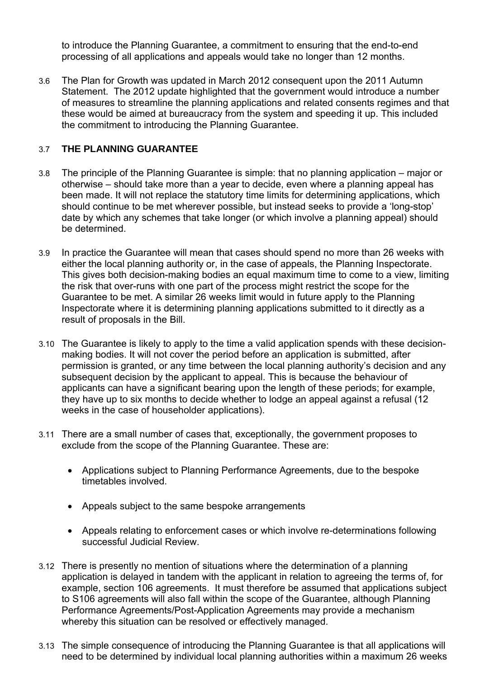to introduce the Planning Guarantee, a commitment to ensuring that the end-to-end processing of all applications and appeals would take no longer than 12 months.

3.6 The Plan for Growth was updated in March 2012 consequent upon the 2011 Autumn Statement. The 2012 update highlighted that the government would introduce a number of measures to streamline the planning applications and related consents regimes and that these would be aimed at bureaucracy from the system and speeding it up. This included the commitment to introducing the Planning Guarantee.

# 3.7 **THE PLANNING GUARANTEE**

- 3.8 The principle of the Planning Guarantee is simple: that no planning application major or otherwise – should take more than a year to decide, even where a planning appeal has been made. It will not replace the statutory time limits for determining applications, which should continue to be met wherever possible, but instead seeks to provide a 'long-stop' date by which any schemes that take longer (or which involve a planning appeal) should be determined.
- 3.9 In practice the Guarantee will mean that cases should spend no more than 26 weeks with either the local planning authority or, in the case of appeals, the Planning Inspectorate. This gives both decision-making bodies an equal maximum time to come to a view, limiting the risk that over-runs with one part of the process might restrict the scope for the Guarantee to be met. A similar 26 weeks limit would in future apply to the Planning Inspectorate where it is determining planning applications submitted to it directly as a result of proposals in the Bill.
- 3.10 The Guarantee is likely to apply to the time a valid application spends with these decisionmaking bodies. It will not cover the period before an application is submitted, after permission is granted, or any time between the local planning authority's decision and any subsequent decision by the applicant to appeal. This is because the behaviour of applicants can have a significant bearing upon the length of these periods; for example, they have up to six months to decide whether to lodge an appeal against a refusal (12 weeks in the case of householder applications).
- 3.11 There are a small number of cases that, exceptionally, the government proposes to exclude from the scope of the Planning Guarantee. These are:
	- Applications subject to Planning Performance Agreements, due to the bespoke timetables involved.
	- Appeals subject to the same bespoke arrangements
	- Appeals relating to enforcement cases or which involve re-determinations following successful Judicial Review.
- 3.12 There is presently no mention of situations where the determination of a planning application is delayed in tandem with the applicant in relation to agreeing the terms of, for example, section 106 agreements. It must therefore be assumed that applications subject to S106 agreements will also fall within the scope of the Guarantee, although Planning Performance Agreements/Post-Application Agreements may provide a mechanism whereby this situation can be resolved or effectively managed.
- 3.13 The simple consequence of introducing the Planning Guarantee is that all applications will need to be determined by individual local planning authorities within a maximum 26 weeks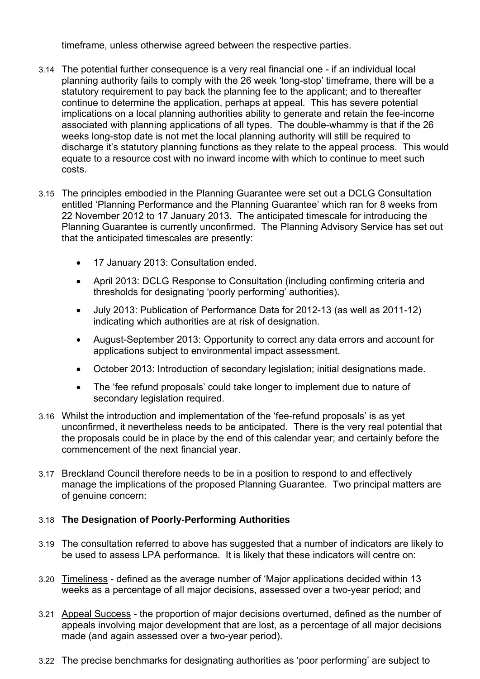timeframe, unless otherwise agreed between the respective parties.

- 3.14 The potential further consequence is a very real financial one if an individual local planning authority fails to comply with the 26 week 'long-stop' timeframe, there will be a statutory requirement to pay back the planning fee to the applicant; and to thereafter continue to determine the application, perhaps at appeal. This has severe potential implications on a local planning authorities ability to generate and retain the fee-income associated with planning applications of all types. The double-whammy is that if the 26 weeks long-stop date is not met the local planning authority will still be required to discharge it's statutory planning functions as they relate to the appeal process. This would equate to a resource cost with no inward income with which to continue to meet such costs.
- 3.15 The principles embodied in the Planning Guarantee were set out a DCLG Consultation entitled 'Planning Performance and the Planning Guarantee' which ran for 8 weeks from 22 November 2012 to 17 January 2013. The anticipated timescale for introducing the Planning Guarantee is currently unconfirmed. The Planning Advisory Service has set out that the anticipated timescales are presently:
	- 17 January 2013: Consultation ended.
	- April 2013: DCLG Response to Consultation (including confirming criteria and thresholds for designating 'poorly performing' authorities).
	- July 2013: Publication of Performance Data for 2012-13 (as well as 2011-12) indicating which authorities are at risk of designation.
	- August-September 2013: Opportunity to correct any data errors and account for applications subject to environmental impact assessment.
	- October 2013: Introduction of secondary legislation; initial designations made.
	- The 'fee refund proposals' could take longer to implement due to nature of secondary legislation required.
- 3.16 Whilst the introduction and implementation of the 'fee-refund proposals' is as yet unconfirmed, it nevertheless needs to be anticipated. There is the very real potential that the proposals could be in place by the end of this calendar year; and certainly before the commencement of the next financial year.
- 3.17 Breckland Council therefore needs to be in a position to respond to and effectively manage the implications of the proposed Planning Guarantee. Two principal matters are of genuine concern:

# 3.18 **The Designation of Poorly-Performing Authorities**

- 3.19 The consultation referred to above has suggested that a number of indicators are likely to be used to assess LPA performance. It is likely that these indicators will centre on:
- 3.20 Timeliness defined as the average number of 'Major applications decided within 13 weeks as a percentage of all major decisions, assessed over a two-year period; and
- 3.21 Appeal Success the proportion of major decisions overturned, defined as the number of appeals involving major development that are lost, as a percentage of all major decisions made (and again assessed over a two-year period).
- 3.22 The precise benchmarks for designating authorities as 'poor performing' are subject to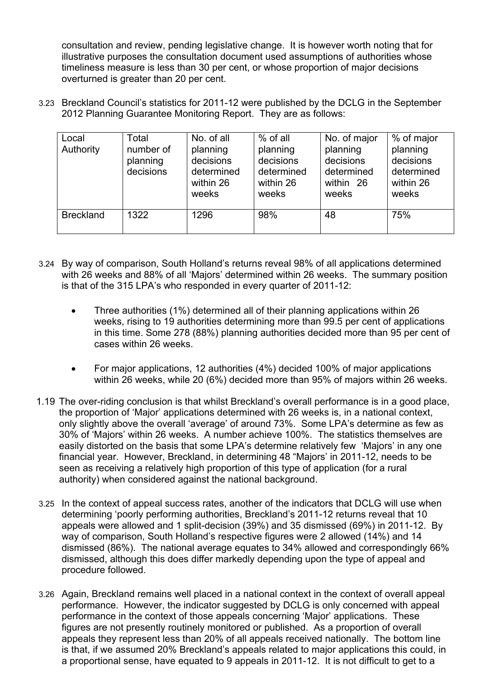consultation and review, pending legislative change. It is however worth noting that for illustrative purposes the consultation document used assumptions of authorities whose timeliness measure is less than 30 per cent, or whose proportion of major decisions overturned is greater than 20 per cent.

3.23 Breckland Council's statistics for 2011-12 were published by the DCLG in the September 2012 Planning Guarantee Monitoring Report. They are as follows:

| Local<br>Authority | Total<br>number of<br>planning<br>decisions | No. of all<br>planning<br>decisions<br>determined<br>within 26<br>weeks | % of all<br>planning<br>decisions<br>determined<br>within 26<br>weeks | No. of major<br>planning<br>decisions<br>determined<br>within 26<br>weeks | % of major<br>planning<br>decisions<br>determined<br>within 26<br>weeks |
|--------------------|---------------------------------------------|-------------------------------------------------------------------------|-----------------------------------------------------------------------|---------------------------------------------------------------------------|-------------------------------------------------------------------------|
| <b>Breckland</b>   | 1322                                        | 1296                                                                    | 98%                                                                   | 48                                                                        | 75%                                                                     |

- 3.24 By way of comparison, South Holland's returns reveal 98% of all applications determined with 26 weeks and 88% of all 'Majors' determined within 26 weeks. The summary position is that of the 315 LPA's who responded in every quarter of 2011-12:
	- Three authorities (1%) determined all of their planning applications within 26 weeks, rising to 19 authorities determining more than 99.5 per cent of applications in this time. Some 278 (88%) planning authorities decided more than 95 per cent of cases within 26 weeks.
	- For major applications, 12 authorities (4%) decided 100% of major applications within 26 weeks, while 20 (6%) decided more than 95% of majors within 26 weeks.
- 1.19 The over-riding conclusion is that whilst Breckland's overall performance is in a good place, the proportion of 'Major' applications determined with 26 weeks is, in a national context, only slightly above the overall 'average' of around 73%. Some LPA's determine as few as 30% of 'Majors' within 26 weeks. A number achieve 100%. The statistics themselves are easily distorted on the basis that some LPA's determine relatively few 'Majors' in any one financial year. However, Breckland, in determining 48 "Majors' in 2011-12, needs to be seen as receiving a relatively high proportion of this type of application (for a rural authority) when considered against the national background.
- 3.25 In the context of appeal success rates, another of the indicators that DCLG will use when determining 'poorly performing authorities, Breckland's 2011-12 returns reveal that 10 appeals were allowed and 1 split-decision (39%) and 35 dismissed (69%) in 2011-12. By way of comparison, South Holland's respective figures were 2 allowed (14%) and 14 dismissed (86%). The national average equates to 34% allowed and correspondingly 66% dismissed, although this does differ markedly depending upon the type of appeal and procedure followed.
- 3.26 Again, Breckland remains well placed in a national context in the context of overall appeal performance. However, the indicator suggested by DCLG is only concerned with appeal performance in the context of those appeals concerning 'Major' applications. These figures are not presently routinely monitored or published. As a proportion of overall appeals they represent less than 20% of all appeals received nationally. The bottom line is that, if we assumed 20% Breckland's appeals related to major applications this could, in a proportional sense, have equated to 9 appeals in 2011-12. It is not difficult to get to a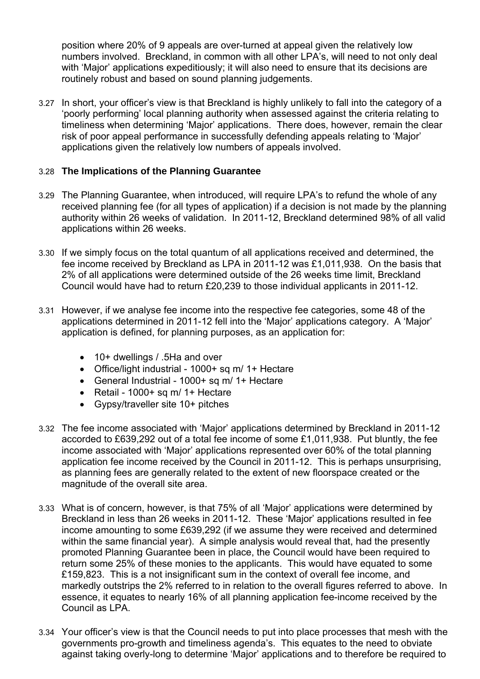position where 20% of 9 appeals are over-turned at appeal given the relatively low numbers involved. Breckland, in common with all other LPA's, will need to not only deal with 'Major' applications expeditiously; it will also need to ensure that its decisions are routinely robust and based on sound planning judgements.

3.27 In short, your officer's view is that Breckland is highly unlikely to fall into the category of a 'poorly performing' local planning authority when assessed against the criteria relating to timeliness when determining 'Major' applications. There does, however, remain the clear risk of poor appeal performance in successfully defending appeals relating to 'Major' applications given the relatively low numbers of appeals involved.

### 3.28 **The Implications of the Planning Guarantee**

- 3.29 The Planning Guarantee, when introduced, will require LPA's to refund the whole of any received planning fee (for all types of application) if a decision is not made by the planning authority within 26 weeks of validation. In 2011-12, Breckland determined 98% of all valid applications within 26 weeks.
- 3.30 If we simply focus on the total quantum of all applications received and determined, the fee income received by Breckland as LPA in 2011-12 was £1,011,938. On the basis that 2% of all applications were determined outside of the 26 weeks time limit, Breckland Council would have had to return £20,239 to those individual applicants in 2011-12.
- 3.31 However, if we analyse fee income into the respective fee categories, some 48 of the applications determined in 2011-12 fell into the 'Major' applications category. A 'Major' application is defined, for planning purposes, as an application for:
	- 10+ dwellings / .5Ha and over
	- Office/light industrial 1000+ sq m/ 1+ Hectare
	- General Industrial 1000+ sq m/ 1+ Hectare
	- $\bullet$  Retail 1000+ sq m/ 1+ Hectare
	- Gypsy/traveller site 10+ pitches
- 3.32 The fee income associated with 'Major' applications determined by Breckland in 2011-12 accorded to £639,292 out of a total fee income of some £1,011,938. Put bluntly, the fee income associated with 'Major' applications represented over 60% of the total planning application fee income received by the Council in 2011-12. This is perhaps unsurprising, as planning fees are generally related to the extent of new floorspace created or the magnitude of the overall site area.
- 3.33 What is of concern, however, is that 75% of all 'Major' applications were determined by Breckland in less than 26 weeks in 2011-12. These 'Major' applications resulted in fee income amounting to some £639,292 (if we assume they were received and determined within the same financial year). A simple analysis would reveal that, had the presently promoted Planning Guarantee been in place, the Council would have been required to return some 25% of these monies to the applicants. This would have equated to some £159,823. This is a not insignificant sum in the context of overall fee income, and markedly outstrips the 2% referred to in relation to the overall figures referred to above. In essence, it equates to nearly 16% of all planning application fee-income received by the Council as LPA.
- 3.34 Your officer's view is that the Council needs to put into place processes that mesh with the governments pro-growth and timeliness agenda's. This equates to the need to obviate against taking overly-long to determine 'Major' applications and to therefore be required to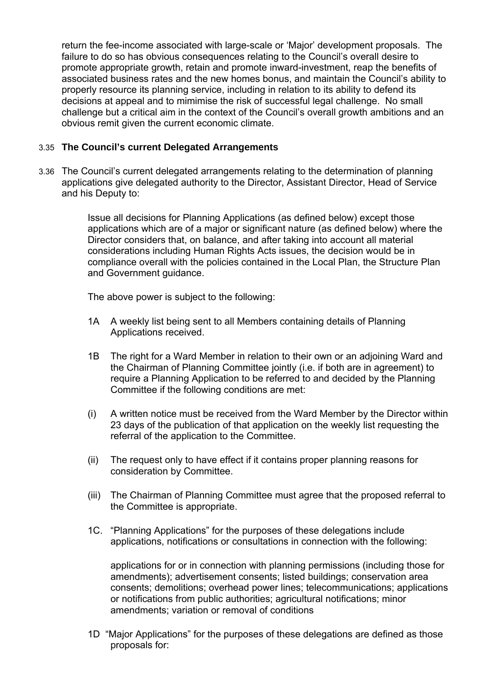return the fee-income associated with large-scale or 'Major' development proposals. The failure to do so has obvious consequences relating to the Council's overall desire to promote appropriate growth, retain and promote inward-investment, reap the benefits of associated business rates and the new homes bonus, and maintain the Council's ability to properly resource its planning service, including in relation to its ability to defend its decisions at appeal and to mimimise the risk of successful legal challenge. No small challenge but a critical aim in the context of the Council's overall growth ambitions and an obvious remit given the current economic climate.

### 3.35 **The Council's current Delegated Arrangements**

3.36 The Council's current delegated arrangements relating to the determination of planning applications give delegated authority to the Director, Assistant Director, Head of Service and his Deputy to:

> Issue all decisions for Planning Applications (as defined below) except those applications which are of a major or significant nature (as defined below) where the Director considers that, on balance, and after taking into account all material considerations including Human Rights Acts issues, the decision would be in compliance overall with the policies contained in the Local Plan, the Structure Plan and Government quidance.

The above power is subject to the following:

- 1A A weekly list being sent to all Members containing details of Planning Applications received.
- 1B The right for a Ward Member in relation to their own or an adjoining Ward and the Chairman of Planning Committee jointly (i.e. if both are in agreement) to require a Planning Application to be referred to and decided by the Planning Committee if the following conditions are met:
- (i) A written notice must be received from the Ward Member by the Director within 23 days of the publication of that application on the weekly list requesting the referral of the application to the Committee.
- (ii) The request only to have effect if it contains proper planning reasons for consideration by Committee.
- (iii) The Chairman of Planning Committee must agree that the proposed referral to the Committee is appropriate.
- 1C. "Planning Applications" for the purposes of these delegations include applications, notifications or consultations in connection with the following:

 applications for or in connection with planning permissions (including those for amendments); advertisement consents; listed buildings; conservation area consents; demolitions; overhead power lines; telecommunications; applications or notifications from public authorities; agricultural notifications; minor amendments; variation or removal of conditions

1D "Major Applications" for the purposes of these delegations are defined as those proposals for: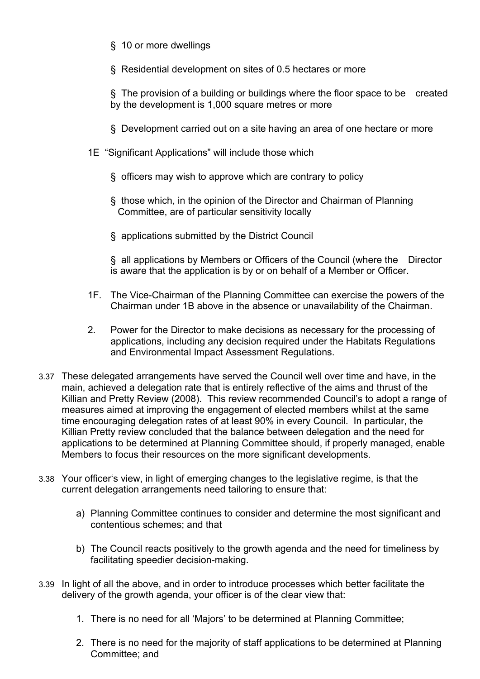- § 10 or more dwellings
- § Residential development on sites of 0.5 hectares or more

 § The provision of a building or buildings where the floor space to be created by the development is 1,000 square metres or more

- § Development carried out on a site having an area of one hectare or more
- 1E "Significant Applications" will include those which
	- § officers may wish to approve which are contrary to policy
	- § those which, in the opinion of the Director and Chairman of Planning Committee, are of particular sensitivity locally
	- § applications submitted by the District Council

 § all applications by Members or Officers of the Council (where the Director is aware that the application is by or on behalf of a Member or Officer.

- 1F. The Vice-Chairman of the Planning Committee can exercise the powers of the Chairman under 1B above in the absence or unavailability of the Chairman.
- 2. Power for the Director to make decisions as necessary for the processing of applications, including any decision required under the Habitats Regulations and Environmental Impact Assessment Regulations.
- 3.37 These delegated arrangements have served the Council well over time and have, in the main, achieved a delegation rate that is entirely reflective of the aims and thrust of the Killian and Pretty Review (2008). This review recommended Council's to adopt a range of measures aimed at improving the engagement of elected members whilst at the same time encouraging delegation rates of at least 90% in every Council. In particular, the Killian Pretty review concluded that the balance between delegation and the need for applications to be determined at Planning Committee should, if properly managed, enable Members to focus their resources on the more significant developments.
- 3.38 Your officer's view, in light of emerging changes to the legislative regime, is that the current delegation arrangements need tailoring to ensure that:
	- a) Planning Committee continues to consider and determine the most significant and contentious schemes; and that
	- b) The Council reacts positively to the growth agenda and the need for timeliness by facilitating speedier decision-making.
- 3.39 In light of all the above, and in order to introduce processes which better facilitate the delivery of the growth agenda, your officer is of the clear view that:
	- 1. There is no need for all 'Majors' to be determined at Planning Committee;
	- 2. There is no need for the majority of staff applications to be determined at Planning Committee; and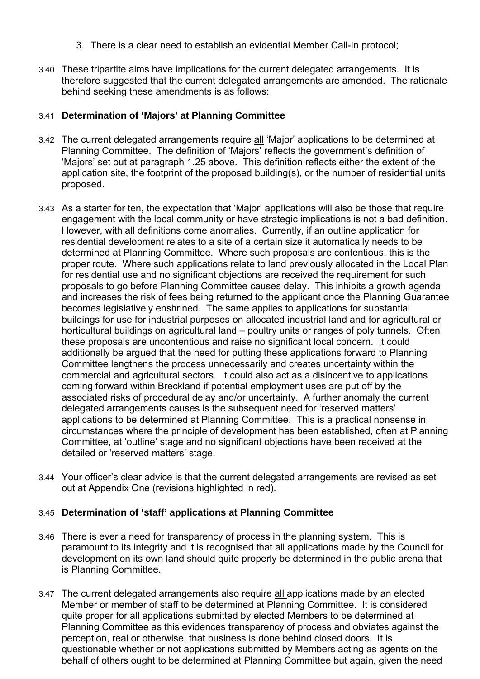- 3. There is a clear need to establish an evidential Member Call-In protocol;
- 3.40 These tripartite aims have implications for the current delegated arrangements. It is therefore suggested that the current delegated arrangements are amended. The rationale behind seeking these amendments is as follows:

### 3.41 **Determination of 'Majors' at Planning Committee**

- 3.42 The current delegated arrangements require all 'Major' applications to be determined at Planning Committee. The definition of 'Majors' reflects the government's definition of 'Majors' set out at paragraph 1.25 above. This definition reflects either the extent of the application site, the footprint of the proposed building(s), or the number of residential units proposed.
- 3.43 As a starter for ten, the expectation that 'Major' applications will also be those that require engagement with the local community or have strategic implications is not a bad definition. However, with all definitions come anomalies. Currently, if an outline application for residential development relates to a site of a certain size it automatically needs to be determined at Planning Committee. Where such proposals are contentious, this is the proper route. Where such applications relate to land previously allocated in the Local Plan for residential use and no significant objections are received the requirement for such proposals to go before Planning Committee causes delay. This inhibits a growth agenda and increases the risk of fees being returned to the applicant once the Planning Guarantee becomes legislatively enshrined. The same applies to applications for substantial buildings for use for industrial purposes on allocated industrial land and for agricultural or horticultural buildings on agricultural land – poultry units or ranges of poly tunnels. Often these proposals are uncontentious and raise no significant local concern. It could additionally be argued that the need for putting these applications forward to Planning Committee lengthens the process unnecessarily and creates uncertainty within the commercial and agricultural sectors. It could also act as a disincentive to applications coming forward within Breckland if potential employment uses are put off by the associated risks of procedural delay and/or uncertainty. A further anomaly the current delegated arrangements causes is the subsequent need for 'reserved matters' applications to be determined at Planning Committee. This is a practical nonsense in circumstances where the principle of development has been established, often at Planning Committee, at 'outline' stage and no significant objections have been received at the detailed or 'reserved matters' stage.
- 3.44 Your officer's clear advice is that the current delegated arrangements are revised as set out at Appendix One (revisions highlighted in red).

### 3.45 **Determination of 'staff' applications at Planning Committee**

- 3.46 There is ever a need for transparency of process in the planning system. This is paramount to its integrity and it is recognised that all applications made by the Council for development on its own land should quite properly be determined in the public arena that is Planning Committee.
- 3.47 The current delegated arrangements also require all applications made by an elected Member or member of staff to be determined at Planning Committee. It is considered quite proper for all applications submitted by elected Members to be determined at Planning Committee as this evidences transparency of process and obviates against the perception, real or otherwise, that business is done behind closed doors. It is questionable whether or not applications submitted by Members acting as agents on the behalf of others ought to be determined at Planning Committee but again, given the need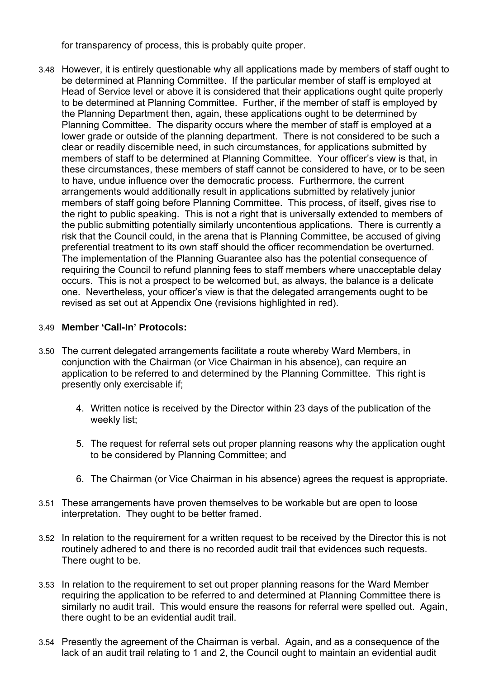for transparency of process, this is probably quite proper.

3.48 However, it is entirely questionable why all applications made by members of staff ought to be determined at Planning Committee. If the particular member of staff is employed at Head of Service level or above it is considered that their applications ought quite properly to be determined at Planning Committee. Further, if the member of staff is employed by the Planning Department then, again, these applications ought to be determined by Planning Committee. The disparity occurs where the member of staff is employed at a lower grade or outside of the planning department. There is not considered to be such a clear or readily discernible need, in such circumstances, for applications submitted by members of staff to be determined at Planning Committee. Your officer's view is that, in these circumstances, these members of staff cannot be considered to have, or to be seen to have, undue influence over the democratic process. Furthermore, the current arrangements would additionally result in applications submitted by relatively junior members of staff going before Planning Committee. This process, of itself, gives rise to the right to public speaking. This is not a right that is universally extended to members of the public submitting potentially similarly uncontentious applications. There is currently a risk that the Council could, in the arena that is Planning Committee, be accused of giving preferential treatment to its own staff should the officer recommendation be overturned. The implementation of the Planning Guarantee also has the potential consequence of requiring the Council to refund planning fees to staff members where unacceptable delay occurs. This is not a prospect to be welcomed but, as always, the balance is a delicate one. Nevertheless, your officer's view is that the delegated arrangements ought to be revised as set out at Appendix One (revisions highlighted in red).

### 3.49 **Member 'Call-In' Protocols:**

- 3.50 The current delegated arrangements facilitate a route whereby Ward Members, in conjunction with the Chairman (or Vice Chairman in his absence), can require an application to be referred to and determined by the Planning Committee. This right is presently only exercisable if;
	- 4. Written notice is received by the Director within 23 days of the publication of the weekly list;
	- 5. The request for referral sets out proper planning reasons why the application ought to be considered by Planning Committee; and
	- 6. The Chairman (or Vice Chairman in his absence) agrees the request is appropriate.
- 3.51 These arrangements have proven themselves to be workable but are open to loose interpretation. They ought to be better framed.
- 3.52 In relation to the requirement for a written request to be received by the Director this is not routinely adhered to and there is no recorded audit trail that evidences such requests. There ought to be.
- 3.53 In relation to the requirement to set out proper planning reasons for the Ward Member requiring the application to be referred to and determined at Planning Committee there is similarly no audit trail. This would ensure the reasons for referral were spelled out. Again, there ought to be an evidential audit trail.
- 3.54 Presently the agreement of the Chairman is verbal. Again, and as a consequence of the lack of an audit trail relating to 1 and 2, the Council ought to maintain an evidential audit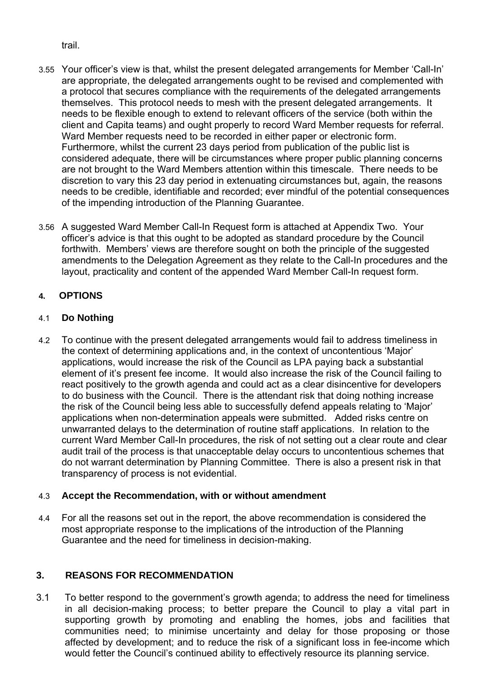trail.

- 3.55 Your officer's view is that, whilst the present delegated arrangements for Member 'Call-In' are appropriate, the delegated arrangements ought to be revised and complemented with a protocol that secures compliance with the requirements of the delegated arrangements themselves. This protocol needs to mesh with the present delegated arrangements. It needs to be flexible enough to extend to relevant officers of the service (both within the client and Capita teams) and ought properly to record Ward Member requests for referral. Ward Member requests need to be recorded in either paper or electronic form. Furthermore, whilst the current 23 days period from publication of the public list is considered adequate, there will be circumstances where proper public planning concerns are not brought to the Ward Members attention within this timescale. There needs to be discretion to vary this 23 day period in extenuating circumstances but, again, the reasons needs to be credible, identifiable and recorded; ever mindful of the potential consequences of the impending introduction of the Planning Guarantee.
- 3.56 A suggested Ward Member Call-In Request form is attached at Appendix Two. Your officer's advice is that this ought to be adopted as standard procedure by the Council forthwith. Members' views are therefore sought on both the principle of the suggested amendments to the Delegation Agreement as they relate to the Call-In procedures and the layout, practicality and content of the appended Ward Member Call-In request form.

# **4. OPTIONS**

# 4.1 **Do Nothing**

4.2 To continue with the present delegated arrangements would fail to address timeliness in the context of determining applications and, in the context of uncontentious 'Major' applications, would increase the risk of the Council as LPA paying back a substantial element of it's present fee income. It would also increase the risk of the Council failing to react positively to the growth agenda and could act as a clear disincentive for developers to do business with the Council. There is the attendant risk that doing nothing increase the risk of the Council being less able to successfully defend appeals relating to 'Major' applications when non-determination appeals were submitted. Added risks centre on unwarranted delays to the determination of routine staff applications. In relation to the current Ward Member Call-In procedures, the risk of not setting out a clear route and clear audit trail of the process is that unacceptable delay occurs to uncontentious schemes that do not warrant determination by Planning Committee. There is also a present risk in that transparency of process is not evidential.

# 4.3 **Accept the Recommendation, with or without amendment**

4.4 For all the reasons set out in the report, the above recommendation is considered the most appropriate response to the implications of the introduction of the Planning Guarantee and the need for timeliness in decision-making.

# **3. REASONS FOR RECOMMENDATION**

3.1 To better respond to the government's growth agenda; to address the need for timeliness in all decision-making process; to better prepare the Council to play a vital part in supporting growth by promoting and enabling the homes, jobs and facilities that communities need; to minimise uncertainty and delay for those proposing or those affected by development; and to reduce the risk of a significant loss in fee-income which would fetter the Council's continued ability to effectively resource its planning service.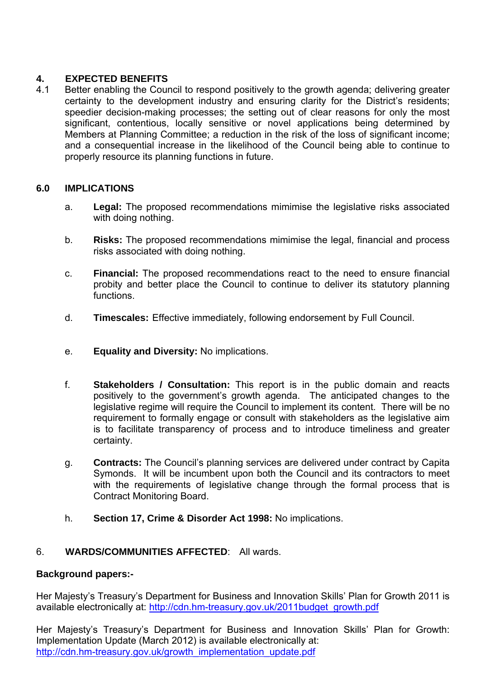# **4. EXPECTED BENEFITS**

4.1 Better enabling the Council to respond positively to the growth agenda; delivering greater certainty to the development industry and ensuring clarity for the District's residents; speedier decision-making processes; the setting out of clear reasons for only the most significant, contentious, locally sensitive or novel applications being determined by Members at Planning Committee; a reduction in the risk of the loss of significant income; and a consequential increase in the likelihood of the Council being able to continue to properly resource its planning functions in future.

# **6.0 IMPLICATIONS**

- a. **Legal:** The proposed recommendations mimimise the legislative risks associated with doing nothing.
- b. **Risks:** The proposed recommendations mimimise the legal, financial and process risks associated with doing nothing.
- c. **Financial:** The proposed recommendations react to the need to ensure financial probity and better place the Council to continue to deliver its statutory planning functions.
- d. **Timescales:** Effective immediately, following endorsement by Full Council.
- e. **Equality and Diversity:** No implications.
- f. **Stakeholders / Consultation:** This report is in the public domain and reacts positively to the government's growth agenda. The anticipated changes to the legislative regime will require the Council to implement its content. There will be no requirement to formally engage or consult with stakeholders as the legislative aim is to facilitate transparency of process and to introduce timeliness and greater certainty.
- g. **Contracts:** The Council's planning services are delivered under contract by Capita Symonds. It will be incumbent upon both the Council and its contractors to meet with the requirements of legislative change through the formal process that is Contract Monitoring Board.
- h. **Section 17, Crime & Disorder Act 1998:** No implications.

# 6. **WARDS/COMMUNITIES AFFECTED**: All wards.

### **Background papers:-**

Her Majesty's Treasury's Department for Business and Innovation Skills' Plan for Growth 2011 is available electronically at: http://cdn.hm-treasury.gov.uk/2011budget\_growth.pdf

Her Majesty's Treasury's Department for Business and Innovation Skills' Plan for Growth: Implementation Update (March 2012) is available electronically at: http://cdn.hm-treasury.gov.uk/growth\_implementation\_update.pdf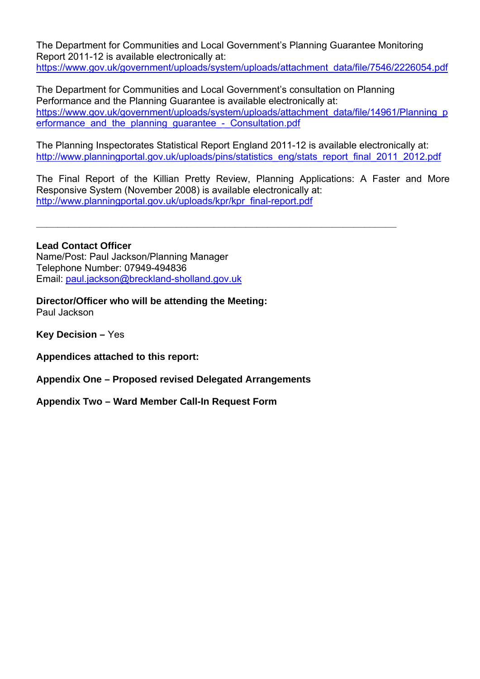The Department for Communities and Local Government's Planning Guarantee Monitoring Report 2011-12 is available electronically at: https://www.gov.uk/government/uploads/system/uploads/attachment\_data/file/7546/2226054.pdf

The Department for Communities and Local Government's consultation on Planning Performance and the Planning Guarantee is available electronically at: https://www.gov.uk/government/uploads/system/uploads/attachment\_data/file/14961/Planning\_p erformance and the planning quarantee - Consultation.pdf

The Planning Inspectorates Statistical Report England 2011-12 is available electronically at: http://www.planningportal.gov.uk/uploads/pins/statistics\_eng/stats\_report\_final\_2011\_2012.pdf

The Final Report of the Killian Pretty Review, Planning Applications: A Faster and More Responsive System (November 2008) is available electronically at: http://www.planningportal.gov.uk/uploads/kpr/kpr\_final-report.pdf

**\_\_\_\_\_\_\_\_\_\_\_\_\_\_\_\_\_\_\_\_\_\_\_\_\_\_\_\_\_\_\_\_\_\_\_\_\_\_\_\_\_\_\_\_\_\_\_\_\_\_\_\_\_\_\_\_\_\_\_\_\_\_\_\_\_\_\_**

**Lead Contact Officer**  Name/Post: Paul Jackson/Planning Manager Telephone Number: 07949-494836 Email: paul.jackson@breckland-sholland.gov.uk

**Director/Officer who will be attending the Meeting:**  Paul Jackson

**Key Decision –** Yes

**Appendices attached to this report:** 

**Appendix One – Proposed revised Delegated Arrangements** 

**Appendix Two – Ward Member Call-In Request Form**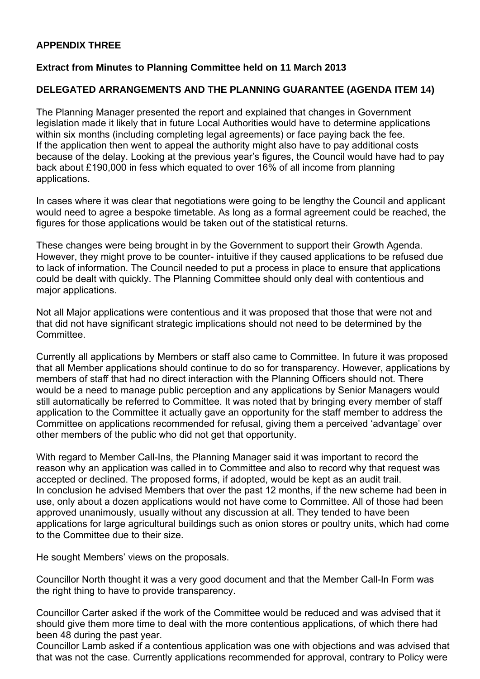# **APPENDIX THREE**

### **Extract from Minutes to Planning Committee held on 11 March 2013**

### **DELEGATED ARRANGEMENTS AND THE PLANNING GUARANTEE (AGENDA ITEM 14)**

The Planning Manager presented the report and explained that changes in Government legislation made it likely that in future Local Authorities would have to determine applications within six months (including completing legal agreements) or face paying back the fee. If the application then went to appeal the authority might also have to pay additional costs because of the delay. Looking at the previous year's figures, the Council would have had to pay back about £190,000 in fess which equated to over 16% of all income from planning applications.

In cases where it was clear that negotiations were going to be lengthy the Council and applicant would need to agree a bespoke timetable. As long as a formal agreement could be reached, the figures for those applications would be taken out of the statistical returns.

These changes were being brought in by the Government to support their Growth Agenda. However, they might prove to be counter- intuitive if they caused applications to be refused due to lack of information. The Council needed to put a process in place to ensure that applications could be dealt with quickly. The Planning Committee should only deal with contentious and major applications.

Not all Major applications were contentious and it was proposed that those that were not and that did not have significant strategic implications should not need to be determined by the **Committee.** 

Currently all applications by Members or staff also came to Committee. In future it was proposed that all Member applications should continue to do so for transparency. However, applications by members of staff that had no direct interaction with the Planning Officers should not. There would be a need to manage public perception and any applications by Senior Managers would still automatically be referred to Committee. It was noted that by bringing every member of staff application to the Committee it actually gave an opportunity for the staff member to address the Committee on applications recommended for refusal, giving them a perceived 'advantage' over other members of the public who did not get that opportunity.

With regard to Member Call-Ins, the Planning Manager said it was important to record the reason why an application was called in to Committee and also to record why that request was accepted or declined. The proposed forms, if adopted, would be kept as an audit trail. In conclusion he advised Members that over the past 12 months, if the new scheme had been in use, only about a dozen applications would not have come to Committee. All of those had been approved unanimously, usually without any discussion at all. They tended to have been applications for large agricultural buildings such as onion stores or poultry units, which had come to the Committee due to their size.

He sought Members' views on the proposals.

Councillor North thought it was a very good document and that the Member Call-In Form was the right thing to have to provide transparency.

Councillor Carter asked if the work of the Committee would be reduced and was advised that it should give them more time to deal with the more contentious applications, of which there had been 48 during the past year.

Councillor Lamb asked if a contentious application was one with objections and was advised that that was not the case. Currently applications recommended for approval, contrary to Policy were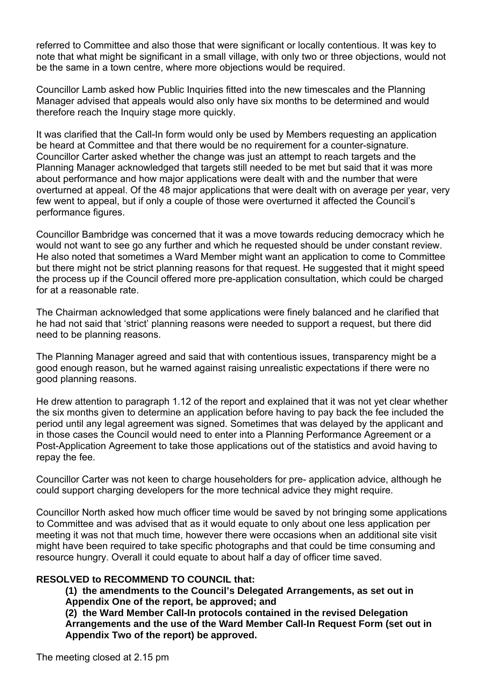referred to Committee and also those that were significant or locally contentious. It was key to note that what might be significant in a small village, with only two or three objections, would not be the same in a town centre, where more objections would be required.

Councillor Lamb asked how Public Inquiries fitted into the new timescales and the Planning Manager advised that appeals would also only have six months to be determined and would therefore reach the Inquiry stage more quickly.

It was clarified that the Call-In form would only be used by Members requesting an application be heard at Committee and that there would be no requirement for a counter-signature. Councillor Carter asked whether the change was just an attempt to reach targets and the Planning Manager acknowledged that targets still needed to be met but said that it was more about performance and how major applications were dealt with and the number that were overturned at appeal. Of the 48 major applications that were dealt with on average per year, very few went to appeal, but if only a couple of those were overturned it affected the Council's performance figures.

Councillor Bambridge was concerned that it was a move towards reducing democracy which he would not want to see go any further and which he requested should be under constant review. He also noted that sometimes a Ward Member might want an application to come to Committee but there might not be strict planning reasons for that request. He suggested that it might speed the process up if the Council offered more pre-application consultation, which could be charged for at a reasonable rate.

The Chairman acknowledged that some applications were finely balanced and he clarified that he had not said that 'strict' planning reasons were needed to support a request, but there did need to be planning reasons.

The Planning Manager agreed and said that with contentious issues, transparency might be a good enough reason, but he warned against raising unrealistic expectations if there were no good planning reasons.

He drew attention to paragraph 1.12 of the report and explained that it was not yet clear whether the six months given to determine an application before having to pay back the fee included the period until any legal agreement was signed. Sometimes that was delayed by the applicant and in those cases the Council would need to enter into a Planning Performance Agreement or a Post-Application Agreement to take those applications out of the statistics and avoid having to repay the fee.

Councillor Carter was not keen to charge householders for pre- application advice, although he could support charging developers for the more technical advice they might require.

Councillor North asked how much officer time would be saved by not bringing some applications to Committee and was advised that as it would equate to only about one less application per meeting it was not that much time, however there were occasions when an additional site visit might have been required to take specific photographs and that could be time consuming and resource hungry. Overall it could equate to about half a day of officer time saved.

### **RESOLVED to RECOMMEND TO COUNCIL that:**

**(1) the amendments to the Council's Delegated Arrangements, as set out in Appendix One of the report, be approved; and** 

**(2) the Ward Member Call-In protocols contained in the revised Delegation Arrangements and the use of the Ward Member Call-In Request Form (set out in Appendix Two of the report) be approved.**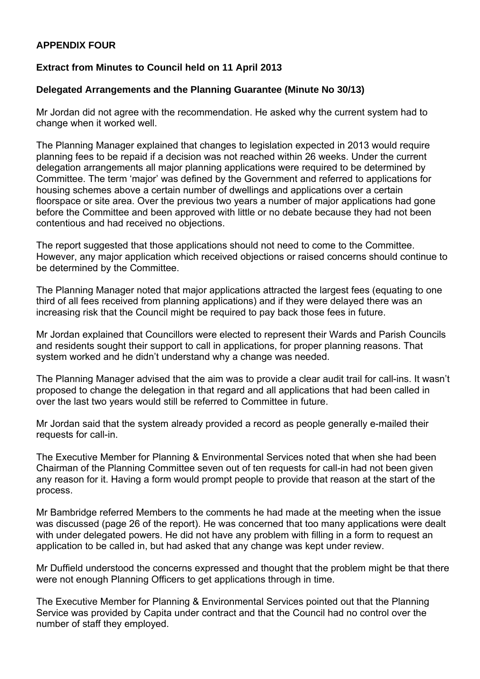# **APPENDIX FOUR**

### **Extract from Minutes to Council held on 11 April 2013**

### **Delegated Arrangements and the Planning Guarantee (Minute No 30/13)**

Mr Jordan did not agree with the recommendation. He asked why the current system had to change when it worked well.

The Planning Manager explained that changes to legislation expected in 2013 would require planning fees to be repaid if a decision was not reached within 26 weeks. Under the current delegation arrangements all major planning applications were required to be determined by Committee. The term 'major' was defined by the Government and referred to applications for housing schemes above a certain number of dwellings and applications over a certain floorspace or site area. Over the previous two years a number of major applications had gone before the Committee and been approved with little or no debate because they had not been contentious and had received no objections.

The report suggested that those applications should not need to come to the Committee. However, any major application which received objections or raised concerns should continue to be determined by the Committee.

The Planning Manager noted that major applications attracted the largest fees (equating to one third of all fees received from planning applications) and if they were delayed there was an increasing risk that the Council might be required to pay back those fees in future.

Mr Jordan explained that Councillors were elected to represent their Wards and Parish Councils and residents sought their support to call in applications, for proper planning reasons. That system worked and he didn't understand why a change was needed.

The Planning Manager advised that the aim was to provide a clear audit trail for call-ins. It wasn't proposed to change the delegation in that regard and all applications that had been called in over the last two years would still be referred to Committee in future.

Mr Jordan said that the system already provided a record as people generally e-mailed their requests for call-in.

The Executive Member for Planning & Environmental Services noted that when she had been Chairman of the Planning Committee seven out of ten requests for call-in had not been given any reason for it. Having a form would prompt people to provide that reason at the start of the process.

Mr Bambridge referred Members to the comments he had made at the meeting when the issue was discussed (page 26 of the report). He was concerned that too many applications were dealt with under delegated powers. He did not have any problem with filling in a form to request an application to be called in, but had asked that any change was kept under review.

Mr Duffield understood the concerns expressed and thought that the problem might be that there were not enough Planning Officers to get applications through in time.

The Executive Member for Planning & Environmental Services pointed out that the Planning Service was provided by Capita under contract and that the Council had no control over the number of staff they employed.